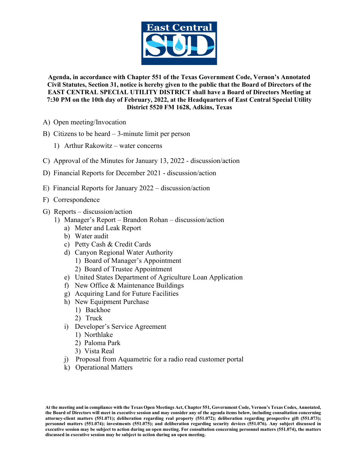

**Agenda, in accordance with Chapter 551 of the Texas Government Code, Vernon's Annotated Civil Statutes, Section 31, notice is hereby given to the public that the Board of Directors of the EAST CENTRAL SPECIAL UTILITY DISTRICT shall have a Board of Directors Meeting at 7:30 PM on the 10th day of February, 2022, at the Headquarters of East Central Special Utility District 5520 FM 1628, Adkins, Texas**

- A) Open meeting/Invocation
- B) Citizens to be heard 3-minute limit per person
	- 1) Arthur Rakowitz water concerns
- C) Approval of the Minutes for January 13, 2022 discussion/action
- D) Financial Reports for December 2021 discussion/action
- E) Financial Reports for January 2022 discussion/action
- F) Correspondence
- G) Reports discussion/action
	- 1) Manager's Report Brandon Rohan discussion/action
		- a) Meter and Leak Report
		- b) Water audit
		- c) Petty Cash & Credit Cards
		- d) Canyon Regional Water Authority
			- 1) Board of Manager's Appointment
			- 2) Board of Trustee Appointment
		- e) United States Department of Agriculture Loan Application
		- f) New Office & Maintenance Buildings
		- g) Acquiring Land for Future Facilities
		- h) New Equipment Purchase
			- 1) Backhoe
			- 2) Truck
		- i) Developer's Service Agreement
			- 1) Northlake
			- 2) Paloma Park
			- 3) Vista Real
		- j) Proposal from Aquametric for a radio read customer portal
		- k) Operational Matters

**At the meeting and in compliance with the Texas Open Meetings Act, Chapter 551, Government Code, Vernon's Texas Codes, Annotated, the Board of Directors will meet in executive session and may consider any of the agenda items below, including consultation concerning attorney-client matters (551.071); deliberation regarding real property (551.072); deliberation regarding prospective gift (551.073); personnel matters (551.074); investments (551.075); and deliberation regarding security devices (551.076). Any subject discussed in executive session may be subject to action during an open meeting. For consultation concerning personnel matters (551.074), the matters discussed in executive session may be subject to action during an open meeting.**